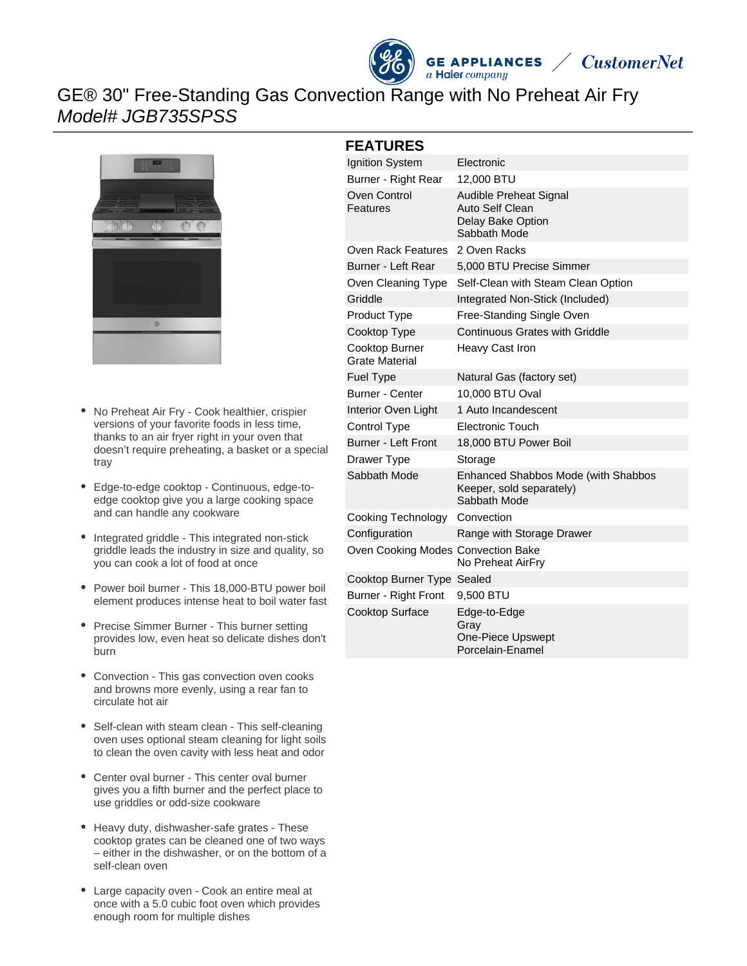



## GE® 30" Free-Standing Gas Convection Range with No Preheat Air Fry Model# JGB735SPSS



- No Preheat Air Fry Cook healthier, crispier versions of your favorite foods in less time, thanks to an air fryer right in your oven that doesn't require preheating, a basket or a special tray
- Edge-to-edge cooktop Continuous, edge-to- $\bullet$ edge cooktop give you a large cooking space and can handle any cookware
- Integrated griddle This integrated non-stick griddle leads the industry in size and quality, so you can cook a lot of food at once
- Power boil burner This 18,000-BTU power boil element produces intense heat to boil water fast
- Precise Simmer Burner This burner setting provides low, even heat so delicate dishes don't burn
- Convection This gas convection oven cooks and browns more evenly, using a rear fan to circulate hot air
- Self-clean with steam clean This self-cleaning oven uses optional steam cleaning for light soils to clean the oven cavity with less heat and odor
- Center oval burner This center oval burner gives you a fifth burner and the perfect place to use griddles or odd-size cookware
- Heavy duty, dishwasher-safe grates These cooktop grates can be cleaned one of two ways – either in the dishwasher, or on the bottom of a self-clean oven
- Large capacity oven Cook an entire meal at once with a 5.0 cubic foot oven which provides enough room for multiple dishes

#### **FEATURES**

| Ignition System                    | Electronic                                                                             |
|------------------------------------|----------------------------------------------------------------------------------------|
| Burner - Right Rear                | 12,000 BTU                                                                             |
| Oven Control<br>Features           | Audible Preheat Signal<br>Auto Self Clean<br>Delay Bake Option<br>Sabbath Mode         |
| Oven Rack Features                 | 2 Oven Racks                                                                           |
| Burner - Left Rear                 | 5,000 BTU Precise Simmer                                                               |
| Oven Cleaning Type                 | Self-Clean with Steam Clean Option                                                     |
| Griddle                            | Integrated Non-Stick (Included)                                                        |
| Product Type                       | Free-Standing Single Oven                                                              |
| Cooktop Type                       | <b>Continuous Grates with Griddle</b>                                                  |
| Cooktop Burner<br>Grate Material   | Heavy Cast Iron                                                                        |
| <b>Fuel Type</b>                   | Natural Gas (factory set)                                                              |
| Burner - Center                    | 10,000 BTU Oval                                                                        |
| Interior Oven Light                | 1 Auto Incandescent                                                                    |
| Control Type                       | <b>Electronic Touch</b>                                                                |
| <b>Burner - Left Front</b>         | 18,000 BTU Power Boil                                                                  |
| Drawer Type                        | Storage                                                                                |
| Sabbath Mode                       | <b>Enhanced Shabbos Mode (with Shabbos</b><br>Keeper, sold separately)<br>Sabbath Mode |
| Cooking Technology                 | Convection                                                                             |
| Configuration                      | Range with Storage Drawer                                                              |
| Oven Cooking Modes Convection Bake | No Preheat AirFry                                                                      |
| Cooktop Burner Type Sealed         |                                                                                        |
| Burner - Right Front               | 9,500 BTU                                                                              |
| <b>Cooktop Surface</b>             | Edge-to-Edge<br>Gray<br>One-Piece Upswept<br>Porcelain-Enamel                          |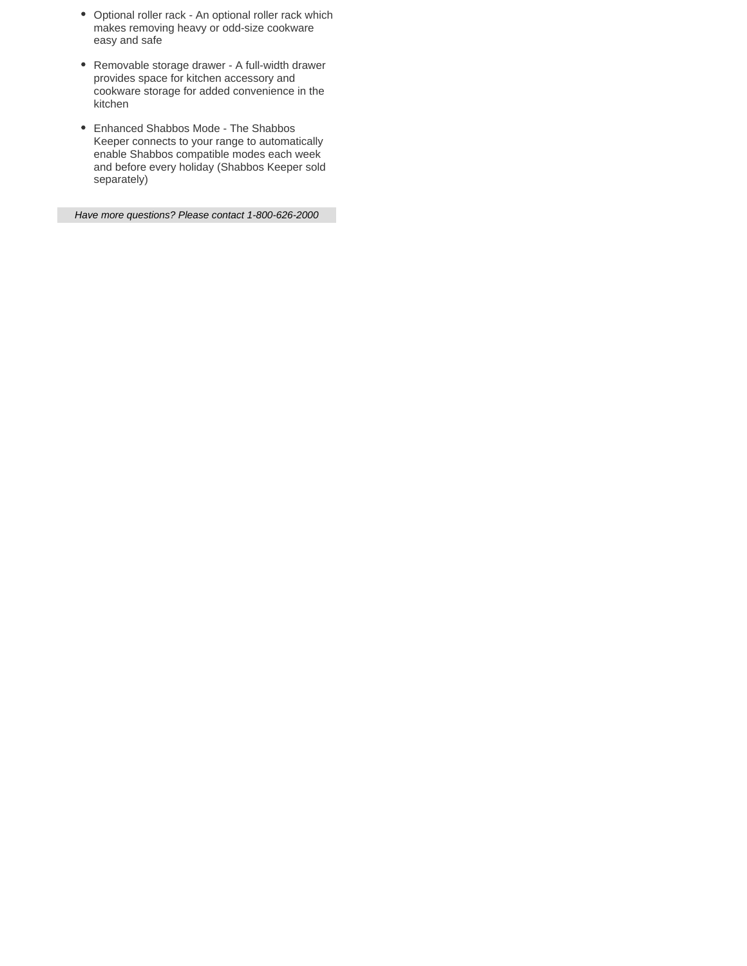- Optional roller rack An optional roller rack which makes removing heavy or odd-size cookware easy and safe
- Removable storage drawer A full-width drawer provides space for kitchen accessory and cookware storage for added convenience in the kitchen
- Enhanced Shabbos Mode The Shabbos Keeper connects to your range to automatically enable Shabbos compatible modes each week and before every holiday (Shabbos Keeper sold separately)

Have more questions? Please contact 1-800-626-2000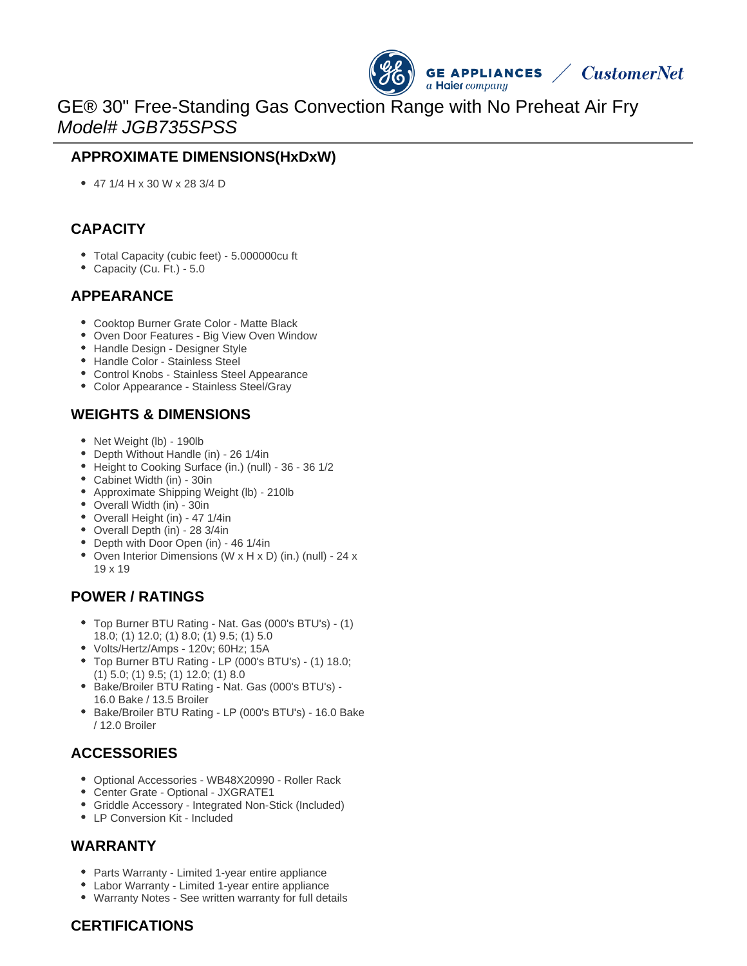

# GE® 30" Free-Standing Gas Convection Range with No Preheat Air Fry Model# JGB735SPSS

### **APPROXIMATE DIMENSIONS(HxDxW)**

47 1/4 H x 30 W x 28 3/4 D

### **CAPACITY**

- Total Capacity (cubic feet) 5.000000cu ft
- Capacity (Cu. Ft.) 5.0

#### **APPEARANCE**

- Cooktop Burner Grate Color Matte Black
- Oven Door Features Big View Oven Window
- Handle Design Designer Style
- Handle Color Stainless Steel
- Control Knobs Stainless Steel Appearance
- Color Appearance Stainless Steel/Gray

#### **WEIGHTS & DIMENSIONS**

- Net Weight (lb) 190lb
- Depth Without Handle (in) 26 1/4in
- Height to Cooking Surface (in.) (null) 36 36 1/2
- Cabinet Width (in) 30in
- Approximate Shipping Weight (lb) 210lb
- Overall Width (in) 30in
- Overall Height (in) 47 1/4in
- Overall Depth (in) 28 3/4in
- Depth with Door Open (in) 46 1/4in
- Oven Interior Dimensions (W x H x D) (in.) (null) 24 x 19 x 19

#### **POWER / RATINGS**

- Top Burner BTU Rating Nat. Gas (000's BTU's) (1) 18.0; (1) 12.0; (1) 8.0; (1) 9.5; (1) 5.0
- Volts/Hertz/Amps 120v; 60Hz; 15A
- Top Burner BTU Rating LP (000's BTU's) (1) 18.0; (1) 5.0; (1) 9.5; (1) 12.0; (1) 8.0
- Bake/Broiler BTU Rating Nat. Gas (000's BTU's) -16.0 Bake / 13.5 Broiler
- Bake/Broiler BTU Rating LP (000's BTU's) 16.0 Bake / 12.0 Broiler

## **ACCESSORIES**

- Optional Accessories WB48X20990 Roller Rack
- Center Grate Optional JXGRATE1
- Griddle Accessory Integrated Non-Stick (Included)
- LP Conversion Kit Included

#### **WARRANTY**

- Parts Warranty Limited 1-year entire appliance
- Labor Warranty Limited 1-year entire appliance
- Warranty Notes See written warranty for full details

#### **CERTIFICATIONS**